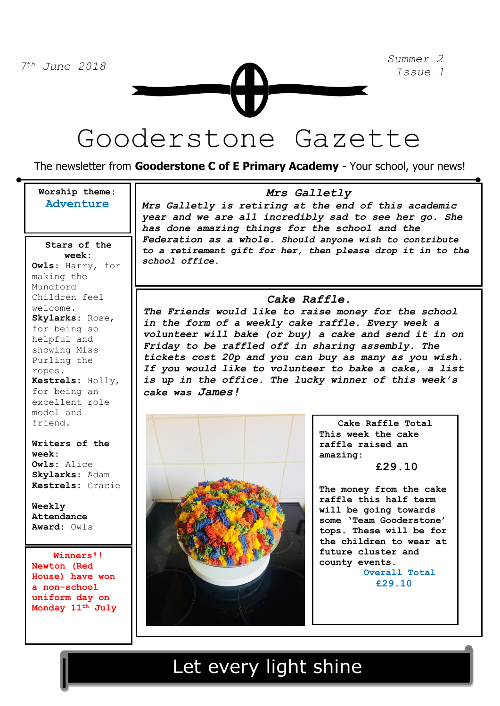Gooderstone Gazette

The newsletter from **Gooderstone C of E Primary Academy** - Your school, your news!

### **Worship theme: Adventure**

for being an **Stars of the week: Owls**: Harry, for making the Mundford Children feel welcome. **Skylarks:** Rose, for being so helpful and showing Miss Purling the ropes. **Kestrels:** Holly, excellent role model and friend.

**Writers of the week: Owls:** Alice **Skylarks**: Adam **Kestrels:** Gracie

**Weekly Attendance Award:** Owls

 **Winners!! Newton (Red House) have won a non-school uniform day on Monday 11th July** 

### *Mrs Galletly*

*Mrs Galletly is retiring at the end of this academic year and we are all incredibly sad to see her go. She has done amazing things for the school and the Federation as a whole. Should anyone wish to contribute to a retirement gift for her, then please drop it in to the school office.*

### *Cake Raffle.*

*The Friends would like to raise money for the school in the form of a weekly cake raffle. Every week a volunteer will bake (or buy) a cake and send it in on Friday to be raffled off in sharing assembly. The tickets cost 20p and you can buy as many as you wish. If you would like to volunteer to bake a cake, a list is up in the office. The lucky winner of this week's cake was James!*



**Cake Raffle Total This week the cake raffle raised an amazing:** 

 **£29.10**

**The money from the cake raffle this half term will be going towards some 'Team Gooderstone' tops. These will be for the children to wear at future cluster and county events. Overall Total £29.10**

## Let every light shine